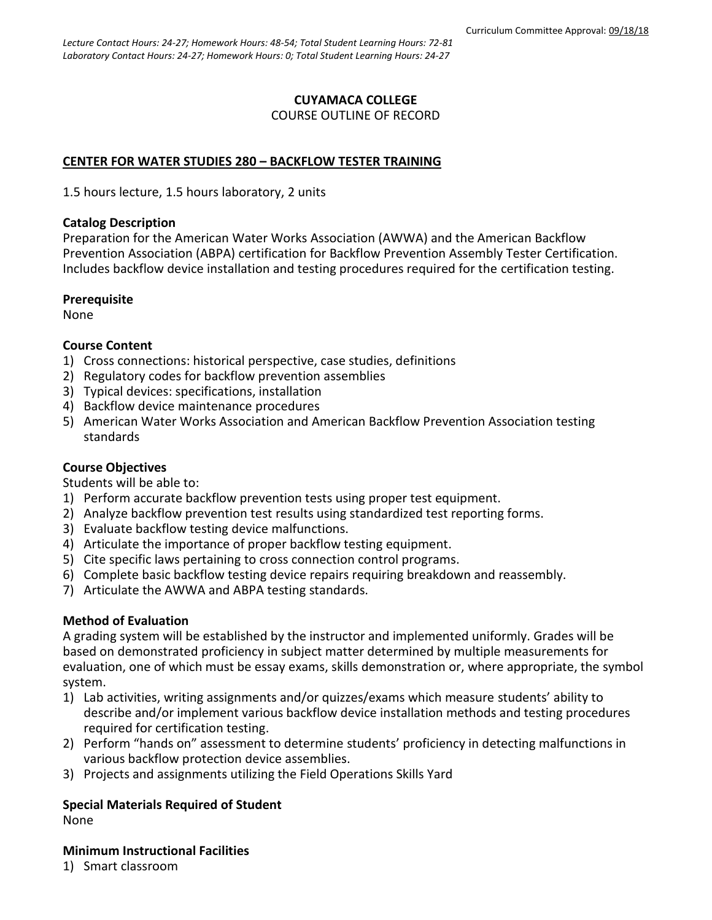### **CUYAMACA COLLEGE** COURSE OUTLINE OF RECORD

## **CENTER FOR WATER STUDIES 280 – BACKFLOW TESTER TRAINING**

1.5 hours lecture, 1.5 hours laboratory, 2 units

### **Catalog Description**

Preparation for the American Water Works Association (AWWA) and the American Backflow Prevention Association (ABPA) certification for Backflow Prevention Assembly Tester Certification. Includes backflow device installation and testing procedures required for the certification testing.

### **Prerequisite**

None

## **Course Content**

- 1) Cross connections: historical perspective, case studies, definitions
- 2) Regulatory codes for backflow prevention assemblies
- 3) Typical devices: specifications, installation
- 4) Backflow device maintenance procedures
- 5) American Water Works Association and American Backflow Prevention Association testing standards

# **Course Objectives**

Students will be able to:

- 1) Perform accurate backflow prevention tests using proper test equipment.
- 2) Analyze backflow prevention test results using standardized test reporting forms.
- 3) Evaluate backflow testing device malfunctions.
- 4) Articulate the importance of proper backflow testing equipment.
- 5) Cite specific laws pertaining to cross connection control programs.
- 6) Complete basic backflow testing device repairs requiring breakdown and reassembly.
- 7) Articulate the AWWA and ABPA testing standards.

### **Method of Evaluation**

A grading system will be established by the instructor and implemented uniformly. Grades will be based on demonstrated proficiency in subject matter determined by multiple measurements for evaluation, one of which must be essay exams, skills demonstration or, where appropriate, the symbol system.

- 1) Lab activities, writing assignments and/or quizzes/exams which measure students' ability to describe and/or implement various backflow device installation methods and testing procedures required for certification testing.
- 2) Perform "hands on" assessment to determine students' proficiency in detecting malfunctions in various backflow protection device assemblies.
- 3) Projects and assignments utilizing the Field Operations Skills Yard

# **Special Materials Required of Student**

None

## **Minimum Instructional Facilities**

1) Smart classroom